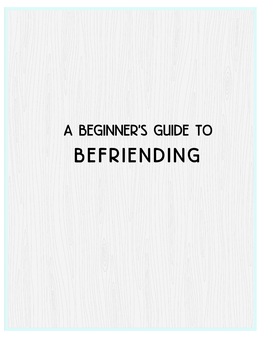# A BEGINNER'S GUIDE TO BEFRIENDING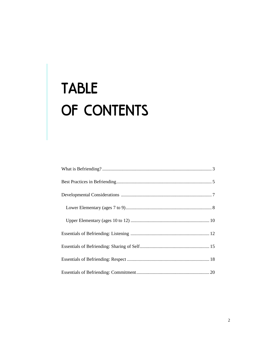# **TABLE** OF CONTENTS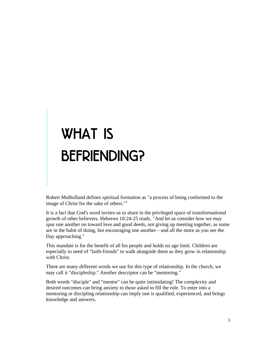# **WHAT IS BEFRIENDING?**

Robert Mulholland defines spiritual formation as "a process of being conformed to the image of Christ for the sake of others."<sup>1</sup>

It is a fact that God's word invites us to share in the privileged space of transformational growth of other believers. Hebrews 10:24-25 reads, "And let us consider how we may spur one another on toward love and good deeds, not giving up meeting together, as some are in the habit of doing, but encouraging one another—and all the more as you see the Day approaching."

This mandate is for the benefit of all his people and holds no age limit. Children are especially in need of "faith-friends" to walk alongside them as they grow in relationship with Christ.

There are many different words we use for this type of relationship. In the church, we may call it "discipleship." Another descriptor can be "mentoring."

Both words "disciple" and "mentor" can be quite intimidating! The complexity and desired outcomes can bring anxiety to those asked to fill the role. To enter into a mentoring or discipling relationship can imply one is qualified, experienced, and brings knowledge and answers.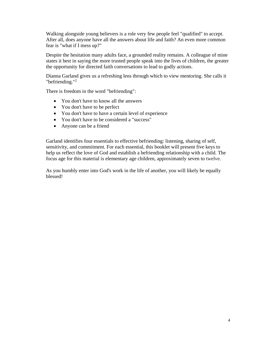Walking alongside young believers is a role very few people feel "qualified" to accept. After all, does anyone have all the answers about life and faith? An even more common fear is "what if I mess up?"

Despite the hesitation many adults face, a grounded reality remains. A colleague of mine states it best in saying the more trusted people speak into the lives of children, the greater the opportunity for directed faith conversations to lead to godly actions.

Dianna Garland gives us a refreshing lens through which to view mentoring. She calls it "befriending."<sup>2</sup>

There is freedom in the word "befriending":

- You don't have to know all the answers
- You don't have to be perfect
- You don't have to have a certain level of experience
- You don't have to be considered a "success"
- Anyone can be a friend

Garland identifies four essentials to effective befriending: listening, sharing of self, sensitivity, and commitment. For each essential, this booklet will present five keys to help us reflect the love of God and establish a befriending relationship with a child. The focus age for this material is elementary age children, approximately seven to twelve.

As you humbly enter into God's work in the life of another, you will likely be equally blessed!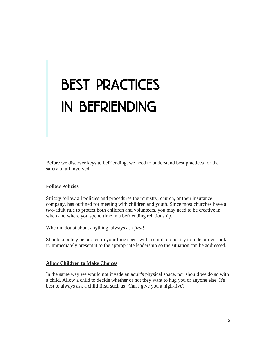# **BEST PRACTICES IN BEFRIENDING**

Before we discover keys to befriending, we need to understand best practices for the safety of all involved.

### **Follow Policies**

Strictly follow all policies and procedures the ministry, church, or their insurance company, has outlined for meeting with children and youth. Since most churches have a two-adult rule to protect both children and volunteers, you may need to be creative in when and where you spend time in a befriending relationship.

When in doubt about anything, always ask *first*!

Should a policy be broken in your time spent with a child, do not try to hide or overlook it. Immediately present it to the appropriate leadership so the situation can be addressed.

### **Allow Children to Make Choices**

In the same way we would not invade an adult's physical space, nor should we do so with a child. Allow a child to decide whether or not they want to hug you or anyone else. It's best to always ask a child first, such as "Can I give you a high-five?"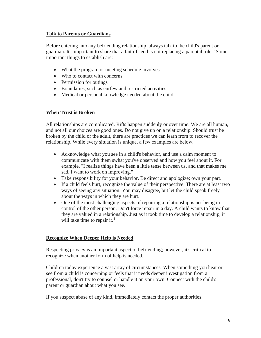### **Talk to Parents or Guardians**

Before entering into any befriending relationship, always talk to the child's parent or guardian. It's important to share that a faith-friend is not replacing a parental role.<sup>3</sup> Some important things to establish are:

- What the program or meeting schedule involves
- Who to contact with concerns
- Permission for outings
- Boundaries, such as curfew and restricted activities
- Medical or personal knowledge needed about the child

## **When Trust is Broken**

All relationships are complicated. Rifts happen suddenly or over time. We are all human, and not all our choices are good ones. Do not give up on a relationship. Should trust be broken by the child or the adult, there are practices we can learn from to recover the relationship. While every situation is unique, a few examples are below.

- Acknowledge what you see in a child's behavior, and use a calm moment to communicate with them swhat you've observed and how you feel about it. For example, "I realize things have been a little tense between us, and that makes me sad. I want to work on improving."
- Take responsibility for your behavior. Be direct and apologize; own your part.
- If a child feels hurt, recognize the value of their perspective. There are at least two ways of seeing any situation. You may disagree, but let the child speak freely about the ways in which they are hurt.
- One of the most challenging aspects of repairing a relationship is not being in control of the other person. Don't force repair in a day. A child wants to know that they are valued in a relationship. Just as it took time to develop a relationship, it will take time to repair it.<sup>4</sup>

## **Recognize When Deeper Help is Needed**

Respecting privacy is an important aspect of befriending; however, it's critical to recognize when another form of help is needed.

Children today experience a vast array of circumstances. When something you hear or see from a child is concerning or feels that it needs deeper investigation from a professional, don't try to counsel or handle it on your own. Connect with the child's parent or guardian about what you see.

If you suspect abuse of any kind, immediately contact the proper authorities.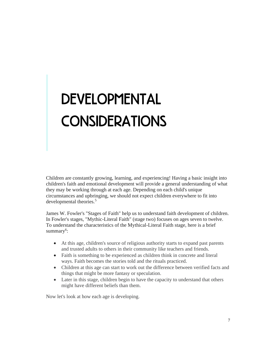# **DEVELOPMENTAL CONSIDERATIONS**

Children are constantly growing, learning, and experiencing! Having a basic insight into children's faith and emotional development will provide a general understanding of what they may be working through at each age. Depending on each child's unique circumstances and upbringing, we should not expect children everywhere to fit into developmental theories.<sup>5</sup>

James W. Fowler's "Stages of Faith" help us to understand faith development of children. In Fowler's stages, "Mythic-Literal Faith" (stage two) focuses on ages seven to twelve. To understand the characteristics of the Mythical-Literal Faith stage, here is a brief summary<sup>6</sup>:

- At this age, children's source of religious authority starts to expand past parents and trusted adults to others in their community like teachers and friends.
- Faith is something to be experienced as children think in concrete and literal ways. Faith becomes the stories told and the rituals practiced.
- Children at this age can start to work out the difference between verified facts and things that might be more fantasy or speculation.
- Later in this stage, children begin to have the capacity to understand that others might have different beliefs than them.

Now let's look at how each age is developing.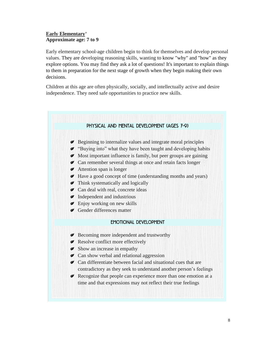## **Early Elementary<sup>+</sup> Approximate age: 7 to 9**

Early elementary school-age children begin to think for themselves and develop personal values. They are developing reasoning skills, wanting to know "why" and "how" as they explore options. You may find they ask a lot of questions! It's important to explain things to them in preparation for the next stage of growth when they begin making their own decisions.

Children at this age are often physically, socially, and intellectually active and desire independence. They need safe opportunities to practice new skills.

## PHYSICAL AND MENTAL DEVELOPMENT (AGES 7-9) **■** Beginning to internalize values and integrate moral principles

- $\blacktriangleright$  "Buying into" what they have been taught and developing habits
- $\blacktriangleright$  Most important influence is family, but peer groups are gaining
- $\triangle$  Can remember several things at once and retain facts longer
- $\blacktriangleright$  Attention span is longer
- $\blacktriangleright$  Have a good concept of time (understanding months and years)
- $\blacktriangleright$  Think systematically and logically
- $\triangle$  Can deal with real, concrete ideas
- $\blacktriangleright$  Independent and industrious
- $\blacktriangleright$  Enjoy working on new skills
- $\bullet$  Gender differences matter

## EMOTIONAL DEVELOPMENT

- $\blacktriangleright$  Becoming more independent and trustworthy
- $\blacktriangleright$  Resolve conflict more effectively
- $\blacktriangleright$  Show an increase in empathy
- $\triangleright$  Can show verbal and relational aggression
- $\triangle$  Can differentiate between facial and situational cues that are contradictory as they seek to understand another person's feelings
- Recognize that people can experience more than one emotion at a time and that expressions may not reflect their true feelings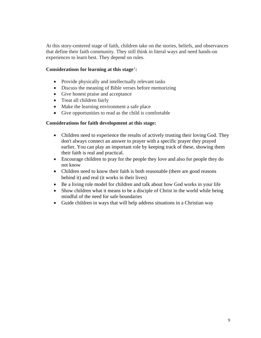At this story-centered stage of faith, children take on the stories, beliefs, and observances that define their faith community. They still think in literal ways and need hands-on experiences to learn best. They depend on rules.

### **Considerations for learning at this stage<sup>+</sup> :**

- Provide physically and intellectually relevant tasks
- Discuss the meaning of Bible verses before memorizing
- Give honest praise and acceptance
- Treat all children fairly
- Make the learning environment a safe place
- Give opportunities to read as the child is comfortable

## **Considerations for faith development at this stage:**

- Children need to experience the results of actively trusting their loving God. They don't always connect an answer to prayer with a specific prayer they prayed earlier. You can play an important role by keeping track of these, showing them their faith is real and practical.
- Encourage children to pray for the people they love and also for people they do not know
- Children need to know their faith is both reasonable (there are good reasons behind it) and real (it works in their lives)
- Be a living role model for children and talk about how God works in your life
- Show children what it means to be a disciple of Christ in the world while being mindful of the need for safe boundaries
- Guide children in ways that will help address situations in a Christian way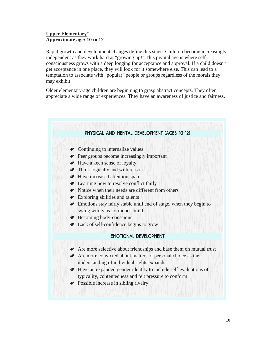## **Upper Elementary<sup>+</sup> Approximate age: 10 to 12**

Rapid growth and development changes define this stage. Children become increasingly independent as they work hard at "growing up!" This pivotal age is where selfconsciousness grows with a deep longing for acceptance and approval. If a child doesn't get acceptance in one place, they will look for it somewhere else. This can lead to a temptation to associate with "popular" people or groups regardless of the morals they may exhibit.

Older elementary-age children are beginning to grasp abstract concepts. They often appreciate a wide range of experiences. They have an awareness of justice and fairness.

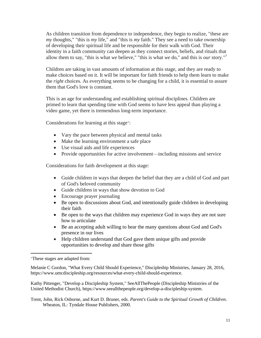As children transition from dependence to independence, they begin to realize, "these are *my* thoughts," "this is *my* life," and "this is *my* faith." They see a need to take ownership of developing their spiritual life and be responsible for their walk with God. Their identity in a faith community can deepen as they connect stories, beliefs, and rituals that allow them to say, "this is what *we* believe," "this is what *we* do," and this is *our* story."<sup>7</sup>

Children are taking in vast amounts of information at this stage, and they are ready to make choices based on it. It will be important for faith friends to help them learn to make the *right* choices. As everything seems to be changing for a child, it is essential to assure them that God's love is constant.

This is an age for understanding and establishing spiritual disciplines. Children are primed to learn that spending time with God seems to have less appeal than playing a video game, yet there is tremendous long-term importance.

Considerations for learning at this stage<sup>+</sup>:

- Vary the pace between physical and mental tasks
- Make the learning environment a safe place
- Use visual aids and life experiences
- Provide opportunities for active involvement—including missions and service

Considerations for faith development at this stage:

- Guide children in ways that deepen the belief that they are a child of God and part of God's beloved community
- Guide children in ways that show devotion to God
- Encourage prayer journaling
- Be open to discussions about God, and intentionally guide children in developing their faith
- Be open to the ways that children may experience God in ways they are not sure how to articulate
- Be an accepting adult willing to hear the many questions about God and God's presence in our lives
- Help children understand that God gave them unique gifts and provide opportunities to develop and share those gifts

Kathy Pittenger, "Develop a Discipleship System," SeeAllThePeople (Discipleship Ministries of the United Methodist Church), https://www.seeallthepeople.org/develop-a-discipleship-system.

Trent, John, Rick Osborne, and Kurt D. Bruner, eds. *Parent's Guide to the Spiritual Growth of Children*. Wheaton, IL: Tyndale House Publishers, 2000.

<sup>+</sup>These stages are adapted from:

Melanie C Gordon, "What Every Child Should Experience," Discipleship Ministries, January 28, 2016, [https://www.umcdiscipleship.org/resources/what-every-child-should-experience.](https://www.umcdiscipleship.org/resources/what-every-child-should-experience)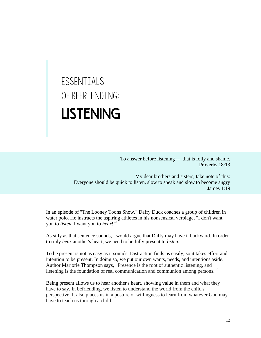## ESSENTIALS of Befriending: **LISTENING**

To answer before listening— that is folly and shame. Proverbs 18:13

My dear brothers and sisters, take note of this: Everyone should be quick to listen, slow to speak and slow to become angry [James 1:19](https://dailyverses.net/james/1/19)

In an episode of "The Looney Toons Show," Daffy Duck coaches a group of children in water polo. He instructs the aspiring athletes in his nonsensical verbiage, "I don't want you to *listen*. I want you to *hear*!"<sup>8</sup>

As silly as that sentence sounds, I would argue that Daffy may have it backward. In order to truly *hear* another's heart, we need to be fully present to *listen*.

To be present is not as easy as it sounds. Distraction finds us easily, so it takes effort and intention to be present. In doing so, we put our own wants, needs, and intentions aside. Author Marjorie Thompson says, "Presence is the root of authentic listening, and listening is the foundation of real communication and communion among persons."<sup>9</sup>

Being present allows us to hear another's heart, showing value in them and what they have to say. In befriending, we listen to understand the world from the child's perspective. It also places us in a posture of willingness to learn from whatever God may have to teach us through a child.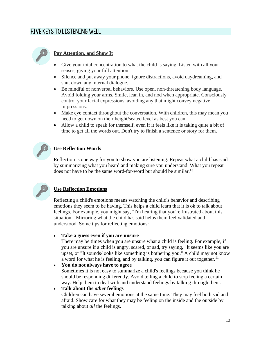## Five KEYS TO LISTENING WELL



## **Pay Attention, and Show It**

- Give your total concentration to what the child is saying. Listen with all your senses, giving your full attention.
- Silence and put away your phone, ignore distractions, avoid daydreaming, and shut down any internal dialogue.
- Be mindful of nonverbal behaviors. Use open, non-threatening body language. Avoid folding your arms. Smile, lean in, and nod when appropriate. Consciously control your facial expressions, avoiding any that might convey negative impressions.
- Make [eye contact](https://www.verywellmind.com/how-do-i-maintain-good-eye-contact-3024392) throughout the conversation. With children, this may mean you need to get down on their height/seated level as best you can.
- Allow a child to speak for themself, even if it feels like it is taking quite a bit of time to get all the words out. Don't try to finish a sentence or story for them.



## **Use Reflection Words**

Reflection is one way for you to show you are listening. Repeat what a child has said by summarizing what you heard and making sure you understand. What you repeat does not have to be the same word-for-word but should be similar.**<sup>10</sup>**



## **Use Reflection Emotions**

Reflecting a child's emotions means watching the child's behavior and describing emotions they seem to be having. This helps a child learn that it is ok to talk about feelings. For example, you might say, "I'm hearing that you're frustrated about this situation." Mirroring what the child has said helps them feel validated and understood. Some tips for reflecting emotions:

• **Take a guess even if you are unsure**

There may be times when you are unsure what a child is feeling. For example, if you are unsure if a child is angry, scared, or sad, try saying, "It seems like you are upset, or "It sounds/looks like something is bothering you." A child may not know a word for what he is feeling, and by talking, you can figure it out together.<sup>11</sup>

- **You do not always have to agree** Sometimes it is not easy to summarize a child's feelings because you think he should be responding differently. Avoid telling a child to stop feeling a certain way. Help them to deal with and understand feelings by talking through them.
- **Talk about the** *other* **feelings**

Children can have several emotions at the same time. They may feel both sad and afraid. Show care for what they may be feeling on the inside and the outside by talking about *all* the feelings.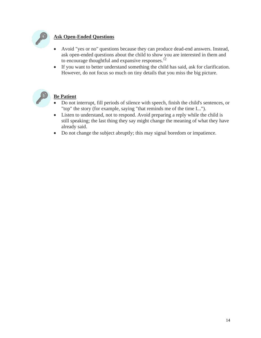

## **Ask Open-Ended Questions**

- Avoid "yes or no" questions because they can produce dead-end answers. Instead, ask open-ended questions about the child to show you are interested in them and to encourage thoughtful and expansive responses.<sup>12</sup>
- If you want to better understand something the child has said, ask for clarification. However, do not focus so much on tiny details that you miss the big picture.



## **Be Patient**

- Do not interrupt, fill periods of silence with speech, finish the child's sentences, or "top" the story (for example, saying "that reminds me of the time I...").
- Listen to understand, not to respond. Avoid preparing a reply while the child is still speaking; the last thing they say might change the meaning of what they have already said.
- Do not change the subject abruptly; this may signal boredom or impatience.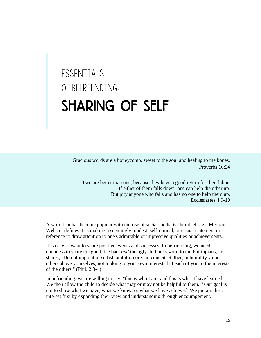## ESSENTIALS of Befriending: **SHARING OF SELF**

Gracious words are a honeycomb, sweet to the soul and healing to the bones. Proverbs 16:24

Two are better than one, because they have a good return for their labor: If either of them falls down, one can help the other up. But pity anyone who falls and has no one to help them up. Ecclesiastes 4:9-10

A word that has become popular with the rise of social media is "humblebrag." Merriam-Webster defines it as making a seemingly modest, self-critical, or casual statement or reference to draw attention to one's admirable or impressive qualities or achievements.

It is easy to want to share positive events and successes. In befriending, we need openness to share the good, the bad, *and* the ugly. In Paul's word to the Philippians, he shares, "Do nothing out of selfish ambition or vain conceit. Rather, in humility value others above yourselves, not looking to your own interests but each of you to the interests of the others." (Phil. 2:3-4)

In befriending, we are willing to say, "this is who I am, and this is what I have learned." We then allow the child to decide what may or may not be helpful to them.<sup>13</sup> Our goal is not to show what we have, what we know, or what we have achieved. We put another's interest first by expanding their view and understanding through encouragement.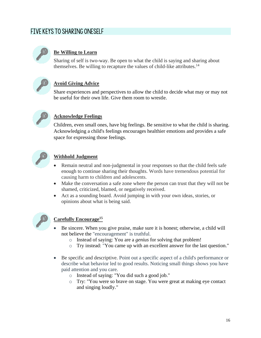## Five KEYS TO SHARING ONESELF



## **Be Willing to Learn**

Sharing of self is two-way. Be open to what the child is saying and sharing about themselves. Be willing to recapture the values of child-like attributes.<sup>14</sup>



## **Avoid Giving Advice**

Share experiences and perspectives to allow the child to decide what may or may not be useful for their own life. Give them room to wrestle.



### **Acknowledge Feelings**

Children, even small ones, have big feelings. Be sensitive to what the child is sharing. Acknowledging a child's feelings encourages healthier emotions and provides a safe space for expressing those feelings.



## **Withhold Judgment**

- Remain neutral and non-judgmental in your responses so that the child feels safe enough to continue sharing their thoughts. Words have tremendous potential for causing harm to children and adolescents.
- Make the conversation a safe zone where the person can trust that they will not be shamed, criticized, blamed, or negatively received.
- Act as a sounding board. Avoid jumping in with your own ideas, stories, or opinions about what is being said.



## **Carefully Encourage<sup>15</sup>**

- Be sincere. When you give praise, make sure it is honest; otherwise, a child will not believe the "encouragement" is truthful.
	- o Instead of saying: You are a *genius* for solving that problem!
	- o Try instead: "You came up with an excellent answer for the last question."
- Be specific and descriptive. Point out a specific aspect of a child's performance or describe what behavior led to good results. Noticing small things shows you have paid attention and you care.
	- o Instead of saying: "You did such a good job."
	- o Try: "You were so brave on stage. You were great at making eye contact and singing loudly."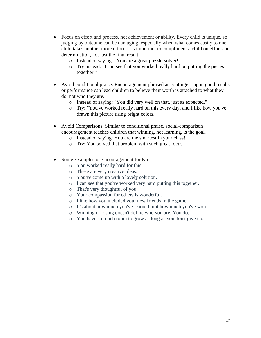- Focus on effort and process, not achievement or ability. Every child is unique, so judging by outcome can be damaging, especially when what comes easily to one child takes another more effort. It is important to compliment a child on effort and determination, not just the final result.
	- o Instead of saying: "You are a great puzzle-solver!"
	- o Try instead: "I can see that you worked really hard on putting the pieces together."
- Avoid conditional praise. Encouragement phrased as contingent upon good results or performance can lead children to believe their worth is attached to what they do, not who they are.
	- o Instead of saying: "You did very well on that, just as expected."
	- o Try: "You've worked really hard on this every day, and I like how you've drawn this picture using bright colors."
- Avoid Comparisons. Similar to conditional praise, social-comparison encouragement teaches children that winning, not learning, is the goal.
	- o Instead of saying: You are the smartest in your class!
	- o Try: You solved that problem with such great focus.
- Some Examples of Encouragement for Kids
	- o You worked really hard for this.
	- o These are very creative ideas.
	- o You've come up with a lovely solution.
	- o I can see that you've worked very hard putting this together.
	- o That's very thoughtful of you.
	- o Your compassion for others is wonderful.
	- o I like how you included your new friends in the game.
	- o It's about how much you've learned; not how much you've won.
	- o Winning or losing doesn't define who you are. You do.
	- o You have so much room to grow as long as you don't give up.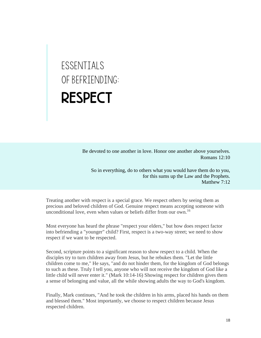## ESSENTIALS of Befriending: **RESPECT**

Be devoted to one another in love. Honor one another above yourselves. Romans 12:10

So in everything, do to others what you would have them do to you, for this sums up the Law and the Prophets. Matthew 7:12

Treating another with respect is a special grace. We respect others by seeing them as precious and beloved children of God. Genuine respect means accepting someone with unconditional love, even when values or beliefs differ from our own.<sup>16</sup>

Most everyone has heard the phrase "respect your elders," but how does respect factor into befriending a "younger" child? First, respect is a two-way street; we need to show respect if we want to be respected.

Second, scripture points to a significant reason to show respect to a child. When the disciples try to turn children away from Jesus, but he rebukes them. "Let the little children come to me," He says, "and do not hinder them, for the kingdom of God belongs to such as these. Truly I tell you, anyone who will not receive the kingdom of God like a little child will never enter it." (Mark 10:14-16) Showing respect for children gives them a sense of belonging and value, all the while showing adults the way to God's kingdom.

Finally, Mark continues, "And he took the children in his arms, placed his hands on them and blessed them." Most importantly, we choose to respect children because Jesus respected children.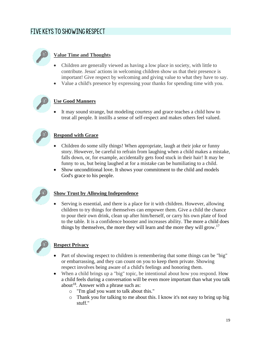## Five KEYS TO SHOWING RESPECT



## **Value Time and Thoughts**

- Children are generally viewed as having a low place in society, with little to contribute. Jesus' actions in welcoming children show us that their presence is important! Give respect by welcoming and giving value to what they have to say.
- Value a child's presence by expressing your thanks for spending time with you.



## **Use Good Manners**

It may sound strange, but modeling courtesy and grace teaches a child how to treat all people. It instills a sense of self-respect and makes others feel valued.



## **Respond with Grace**

- Children do some silly things! When appropriate, laugh at their joke or funny story. However, be careful to refrain from laughing when a child makes a mistake, falls down, or, for example, accidentally gets food stuck in their hair! It may be funny to us, but being laughed at for a mistake can be humiliating to a child.
- Show unconditional love. It shows your commitment to the child and models God's grace to his people.



## **Show Trust by Allowing Independence**

• Serving is essential, and there is a place for it with children. However, allowing children to try things for themselves can empower them. Give a child the chance to pour their own drink, clean up after him/herself, or carry his own plate of food to the table. It is a confidence booster and increases ability. The more a child does things by themselves, the more they will learn and the more they will grow.<sup>17</sup>



## **Respect Privacy**

- Part of showing respect to children is remembering that some things can be "big" or embarrassing, and they can count on you to keep them private. Showing respect involves being aware of a child's feelings and honoring them.
- When a child brings up a "big" topic, be intentional about how you respond. How a child feels during a conversation will be even more important than what you talk about<sup>18</sup>. Answer with a phrase such as:
	- o "I'm glad you want to talk about this."
	- o Thank you for talking to me about this. I know it's not easy to bring up big stuff."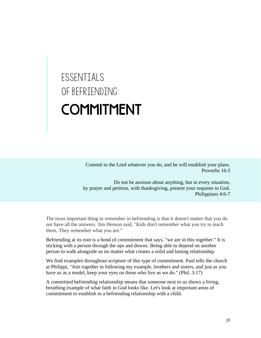## ESSENTIALS of Befriending: **COMMITMENT**

Commit to the Lord whatever you do, and he will establish your plans. Proverbs 16:3

Do not be anxious about anything, but in every situation, by prayer and petition, with thanksgiving, present your requests to God. Philippians 4:6-7

The most important thing to remember in befriending is that it doesn't matter that you do not have all the answers. Jim Henson said, "Kids don't remember what you try to teach them. They remember what you are."

Befriending at its root is a bond of commitment that says, "we are in this together." It is sticking with a person through the ups and downs. Being able to depend on another person to walk alongside us no matter what creates a solid and lasting relationship.

We find examples throughout scripture of this type of commitment. Paul tells the church at Philippi, "Join together in following my example, brothers and sisters, and just as you have us as a model, keep your eyes on those who live as we do." (Phil. 3:17)

A committed befriending relationship means that someone next to us shows a living, breathing example of what faith in God looks like. Let's look at important areas of commitment to establish in a befriending relationship with a child.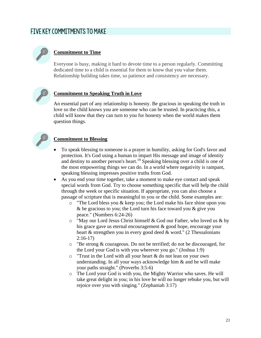## Five KEY Commitments to make



## **Commitment to Time**

Everyone is busy, making it hard to devote time to a person regularly. Committing dedicated time to a child is essential for them to know that you value them. Relationship building takes time, so patience and consistency are necessary.



#### **Commitment to Speaking Truth in Love**

An essential part of any relationship is honesty. Be gracious in speaking the truth in love so the child knows you are someone who can be trusted. In practicing this, a child will know that they can turn to you for honesty when the world makes them question things.



## **Commitment to Blessing**

- To speak blessing to someone is a prayer in humility, asking for God's favor and protection. It's God using a human to impart His message and image of identity and destiny to another person's heart.<sup>19</sup> Speaking blessing over a child is one of the most empowering things we can do. In a world where negativity is rampant, speaking blessing impresses positive truths from God.
- As you end your time together, take a moment to make eye contact and speak special words from God. Try to choose something specific that will help the child through the week or specific situation. If appropriate, you can also choose a passage of scripture that is meaningful to you or the child. Some examples are:
	- o "The Lord bless you & keep you; the Lord make his face shine upon you & be gracious to you; the Lord turn his face toward you & give you peace." (Numbers 6:24-26)
	- o "May our Lord Jesus Christ himself & God our Father, who loved us & by his grace gave us eternal encouragement & good hope, encourage your heart & strengthen you in every good deed & word." (2 Thessalonians 2:16-17)
	- o "Be strong & courageous. Do not be terrified; do not be discouraged, for the Lord your God is with you wherever you go." (Joshua 1:9)
	- o "Trust in the Lord with all your heart & do not lean on your own understanding. In all your ways acknowledge him & and he will make your paths straight." (Proverbs 3:5-6)
	- o The Lord your God is with you, the Mighty Warrior who saves. He will take great delight in you; in his love he will no longer rebuke you, but will rejoice over you with singing." (Zephaniah 3:17)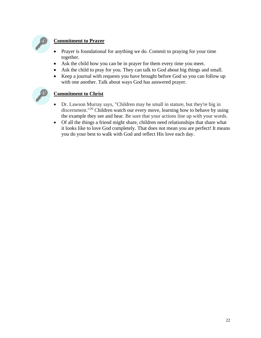

## **Commitment to Prayer**

- Prayer is foundational for anything we do. Commit to praying for your time together.
- Ask the child how you can be in prayer for them every time you meet.
- Ask the child to pray for you. They can talk to God about big things and small.
- Keep a journal with requests you have brought before God so you can follow up with one another. Talk about ways God has answered prayer.



## **Commitment to Christ**

- Dr. Lawson Murray says, "Children may be small in stature, but they're big in discernment."<sup>20</sup> Children watch our every move, learning how to behave by using the example they see and hear. Be sure that your actions line up with your words.
- Of all the things a friend might share, children need relationships that share what it looks like to love God completely. That does not mean you are perfect! It means you do your best to walk with God and reflect His love each day.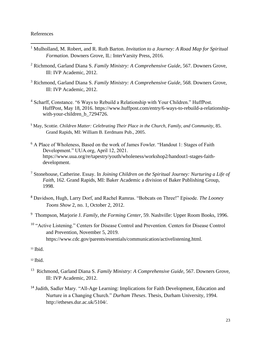#### References

- <sup>1</sup> Mulholland, M. Robert, and R. Ruth Barton. *Invitation to a Journey: A Road Map for Spiritual Formation*. Downers Grove, IL: InterVarsity Press, 2016.
- <sup>2</sup> Richmond, Garland Diana S. *Family Ministry: A Comprehensive Guide*, 567. Downers Grove, Ill: IVP Academic, 2012.
- <sup>3</sup> Richmond, Garland Diana S. *Family Ministry: A Comprehensive Guide*, 568. Downers Grove, Ill: IVP Academic, 2012.
- <sup>4</sup> Scharff, Constance. "6 Ways to Rebuild a Relationship with Your Children." HuffPost. HuffPost, May 18, 2016. https://www.huffpost.com/entry/6-ways-to-rebuild-a-relationshipwith-your-children\_b\_7294726.
- <sup>5</sup> May, Scottie. *Children Matter: Celebrating Their Place in the Church, Family, and Community*, 85. Grand Rapids, MI: William B. Eerdmans Pub., 2005.
- <sup>6</sup> A Place of Wholeness, Based on the work of James Fowler. "Handout 1: Stages of Faith Development." UUA.org, April 12, 2021. https://www.uua.org/re/tapestry/youth/wholeness/workshop2/handout1-stages-faithdevelopment.
- <sup>7</sup> Stonehouse, Catherine. Essay. In *Joining Children on the Spiritual Journey: Nurturing a Life of Faith*, 162. Grand Rapids, MI: Baker Academic a division of Baker Publishing Group, 1998.
- <sup>8</sup> Davidson, Hugh, Larry Dorf, and Rachel Ramras. "Bobcats on Three!" Episode. *The Looney Toons Show* 2, no. 1, October 2, 2012.
- <sup>9</sup> Thompson, Marjorie J. *Family, the Forming Center*, 59. Nashville: Upper Room Books, 1996.
- <sup>10</sup> "Active Listening." Centers for Disease Control and Prevention. Centers for Disease Control and Prevention, November 5, 2019. https://www.cdc.gov/parents/essentials/communication/activelistening.html.

 $11$  Ibid.

 $12$  Ibid.

- <sup>13</sup> Richmond, Garland Diana S. *Family Ministry: A Comprehensive Guide*, 567. Downers Grove, Ill: IVP Academic, 2012.
- <sup>14</sup> Judith, Sadler Mary. "All-Age Learning: Implications for Faith Development, Education and Nurture in a Changing Church." *Durham Theses*. Thesis, Durham University, 1994. http://etheses.dur.ac.uk/5104/.